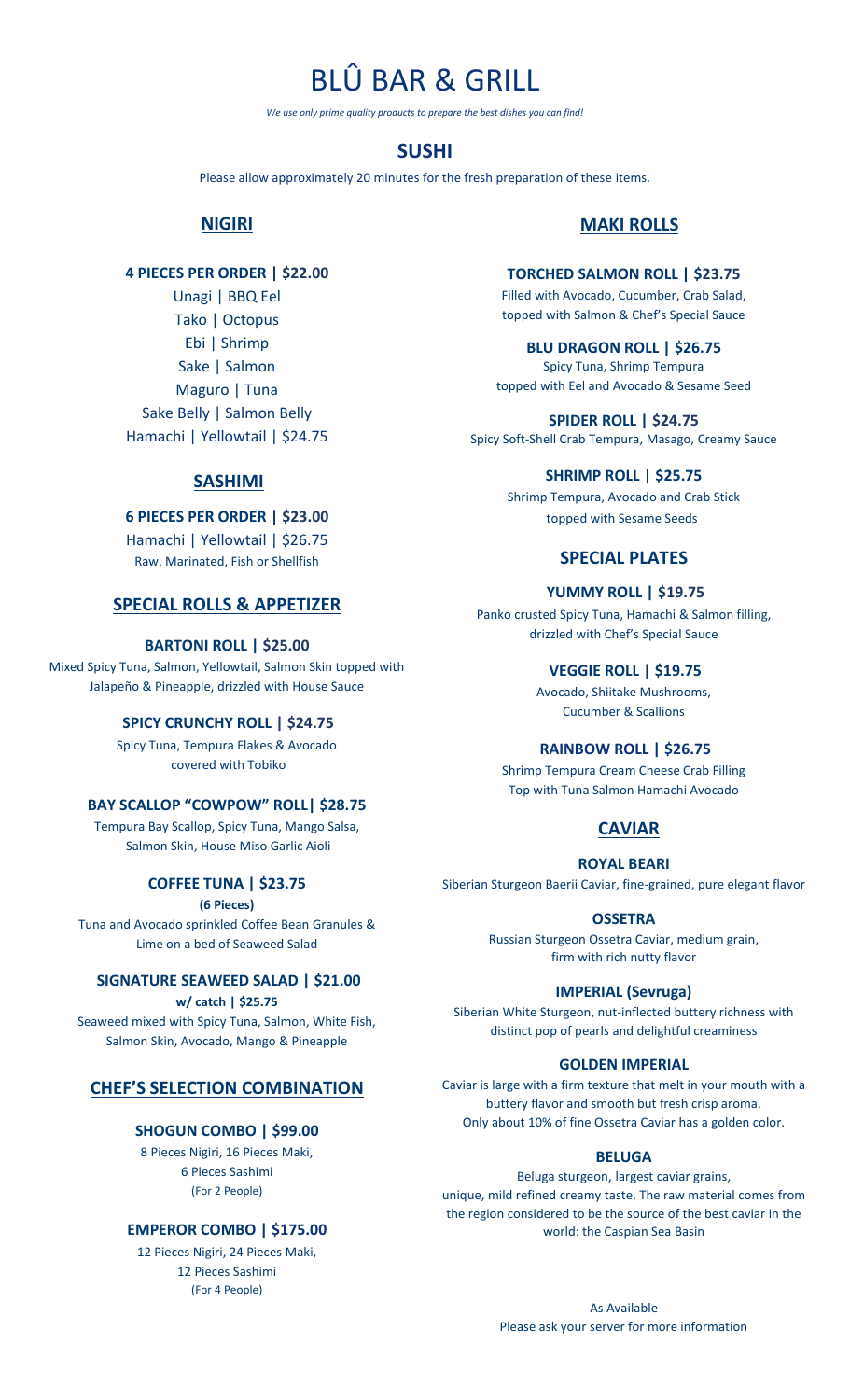# BLÛ BAR & GRILL

*We use only prime quality products to prepare the best dishes you can find!*

# **SUSHI**

Please allow approximately 20 minutes for the fresh preparation of these items.

# **NIGIRI**

# **4 PIECES PER ORDER | \$22.00**

Unagi | BBQ Eel Tako | Octopus Ebi | Shrimp Sake | Salmon Maguro | Tuna Sake Belly | Salmon Belly Hamachi | Yellowtail | \$24.75

# **SASHIMI**

#### **6 PIECES PER ORDER | \$23.00**

Hamachi | Yellowtail | \$26.75 Raw, Marinated, Fish or Shellfish

# **SPECIAL ROLLS & APPETIZER**

#### **BARTONI ROLL | \$25.00**

Mixed Spicy Tuna, Salmon, Yellowtail, Salmon Skin topped with Jalapeño & Pineapple, drizzled with House Sauce

## **SPICY CRUNCHY ROLL | \$24.75**

Spicy Tuna, Tempura Flakes & Avocado covered with Tobiko

# **BAY SCALLOP "COWPOW" ROLL| \$28.75**

Tempura Bay Scallop, Spicy Tuna, Mango Salsa, Salmon Skin, House Miso Garlic Aioli

#### **COFFEE TUNA | \$23.75**

#### **(6 Pieces)**

Tuna and Avocado sprinkled Coffee Bean Granules & Lime on a bed of Seaweed Salad

#### **SIGNATURE SEAWEED SALAD | \$21.00**

**w/ catch | \$25.75** Seaweed mixed with Spicy Tuna, Salmon, White Fish, Salmon Skin, Avocado, Mango & Pineapple

# **CHEF'S SELECTION COMBINATION**

#### **SHOGUN COMBO | \$99.00**

8 Pieces Nigiri, 16 Pieces Maki, 6 Pieces Sashimi (For 2 People)

#### **EMPEROR COMBO | \$175.00**

12 Pieces Nigiri, 24 Pieces Maki, 12 Pieces Sashimi (For 4 People)

# **MAKI ROLLS**

#### **TORCHED SALMON ROLL | \$23.75**

Filled with Avocado, Cucumber, Crab Salad, topped with Salmon & Chef's Special Sauce

#### **BLU DRAGON ROLL | \$26.75**

Spicy Tuna, Shrimp Tempura topped with Eel and Avocado & Sesame Seed

**SPIDER ROLL | \$24.75** Spicy Soft-Shell Crab Tempura, Masago, Creamy Sauce

#### **SHRIMP ROLL | \$25.75**

Shrimp Tempura, Avocado and Crab Stick topped with Sesame Seeds

# **SPECIAL PLATES**

## **YUMMY ROLL | \$19.75**

Panko crusted Spicy Tuna, Hamachi & Salmon filling, drizzled with Chef's Special Sauce

#### **VEGGIE ROLL | \$19.75**

Avocado, Shiitake Mushrooms, Cucumber & Scallions

#### **RAINBOW ROLL | \$26.75**

Shrimp Tempura Cream Cheese Crab Filling Top with Tuna Salmon Hamachi Avocado

# **CAVIAR**

#### **ROYAL BEARI**

Siberian Sturgeon Baerii Caviar, fine-grained, pure elegant flavor

#### **OSSETRA**

Russian Sturgeon Ossetra Caviar, medium grain, firm with rich nutty flavor

#### **IMPERIAL (Sevruga)**

Siberian White Sturgeon, nut-inflected buttery richness with distinct pop of pearls and delightful creaminess

#### **GOLDEN IMPERIAL**

Caviar is large with a firm texture that melt in your mouth with a buttery flavor and smooth but fresh crisp aroma. Only about 10% of fine Ossetra Caviar has a golden color.

### **BELUGA**

Beluga sturgeon, largest caviar grains, unique, mild refined creamy taste. The raw material comes from the region considered to be the source of the best caviar in the world: the Caspian Sea Basin

> As Available Please ask your server for more information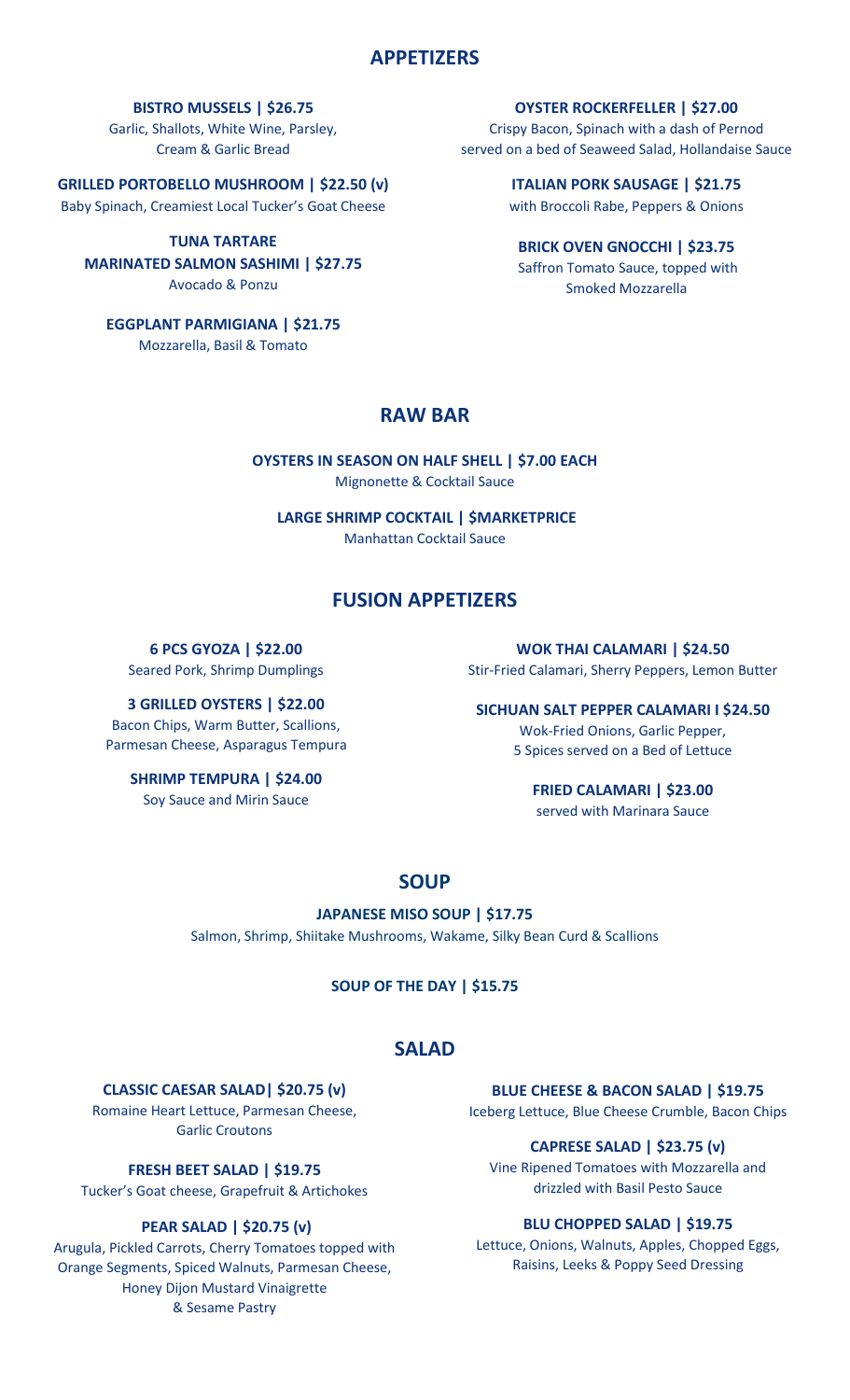# **APPETIZERS**

**BISTRO MUSSELS | \$26.75**

Garlic, Shallots, White Wine, Parsley, Cream & Garlic Bread

**GRILLED PORTOBELLO MUSHROOM | \$22.50 (v)** Baby Spinach, Creamiest Local Tucker's Goat Cheese

**TUNA TARTARE MARINATED SALMON SASHIMI | \$27.75** Avocado & Ponzu

**EGGPLANT PARMIGIANA | \$21.75**

Mozzarella, Basil & Tomato

**OYSTER ROCKERFELLER | \$27.00** Crispy Bacon, Spinach with a dash of Pernod served on a bed of Seaweed Salad, Hollandaise Sauce

> **ITALIAN PORK SAUSAGE | \$21.75** with Broccoli Rabe, Peppers & Onions

**BRICK OVEN GNOCCHI | \$23.75** Saffron Tomato Sauce, topped with Smoked Mozzarella

# **RAW BAR**

**OYSTERS IN SEASON ON HALF SHELL | \$7.00 EACH** Mignonette & Cocktail Sauce

**LARGE SHRIMP COCKTAIL | \$MARKETPRICE** Manhattan Cocktail Sauce

# **FUSION APPETIZERS**

**6 PCS GYOZA | \$22.00**

Seared Pork, Shrimp Dumplings

**3 GRILLED OYSTERS | \$22.00** Bacon Chips, Warm Butter, Scallions, Parmesan Cheese, Asparagus Tempura

**SHRIMP TEMPURA | \$24.00** Soy Sauce and Mirin Sauce

**WOK THAI CALAMARI | \$24.50** Stir-Fried Calamari, Sherry Peppers, Lemon Butter

**SICHUAN SALT PEPPER CALAMARI I \$24.50** Wok-Fried Onions, Garlic Pepper, 5 Spices served on a Bed of Lettuce

> **FRIED CALAMARI | \$23.00** served with Marinara Sauce

# **SOUP**

**JAPANESE MISO SOUP | \$17.75** Salmon, Shrimp, Shiitake Mushrooms, Wakame, Silky Bean Curd & Scallions

**SOUP OF THE DAY | \$15.75**

# **SALAD**

**CLASSIC CAESAR SALAD| \$20.75 (v)** 

Romaine Heart Lettuce, Parmesan Cheese, Garlic Croutons

**FRESH BEET SALAD | \$19.75**

Tucker's Goat cheese, Grapefruit & Artichokes

## **PEAR SALAD | \$20.75 (v)**

Arugula, Pickled Carrots, Cherry Tomatoes topped with Orange Segments, Spiced Walnuts, Parmesan Cheese, Honey Dijon Mustard Vinaigrette & Sesame Pastry

**BLUE CHEESE & BACON SALAD | \$19.75** Iceberg Lettuce, Blue Cheese Crumble, Bacon Chips

## **CAPRESE SALAD | \$23.75 (v)**

Vine Ripened Tomatoes with Mozzarella and drizzled with Basil Pesto Sauce

#### **BLU CHOPPED SALAD | \$19.75**

Lettuce, Onions, Walnuts, Apples, Chopped Eggs, Raisins, Leeks & Poppy Seed Dressing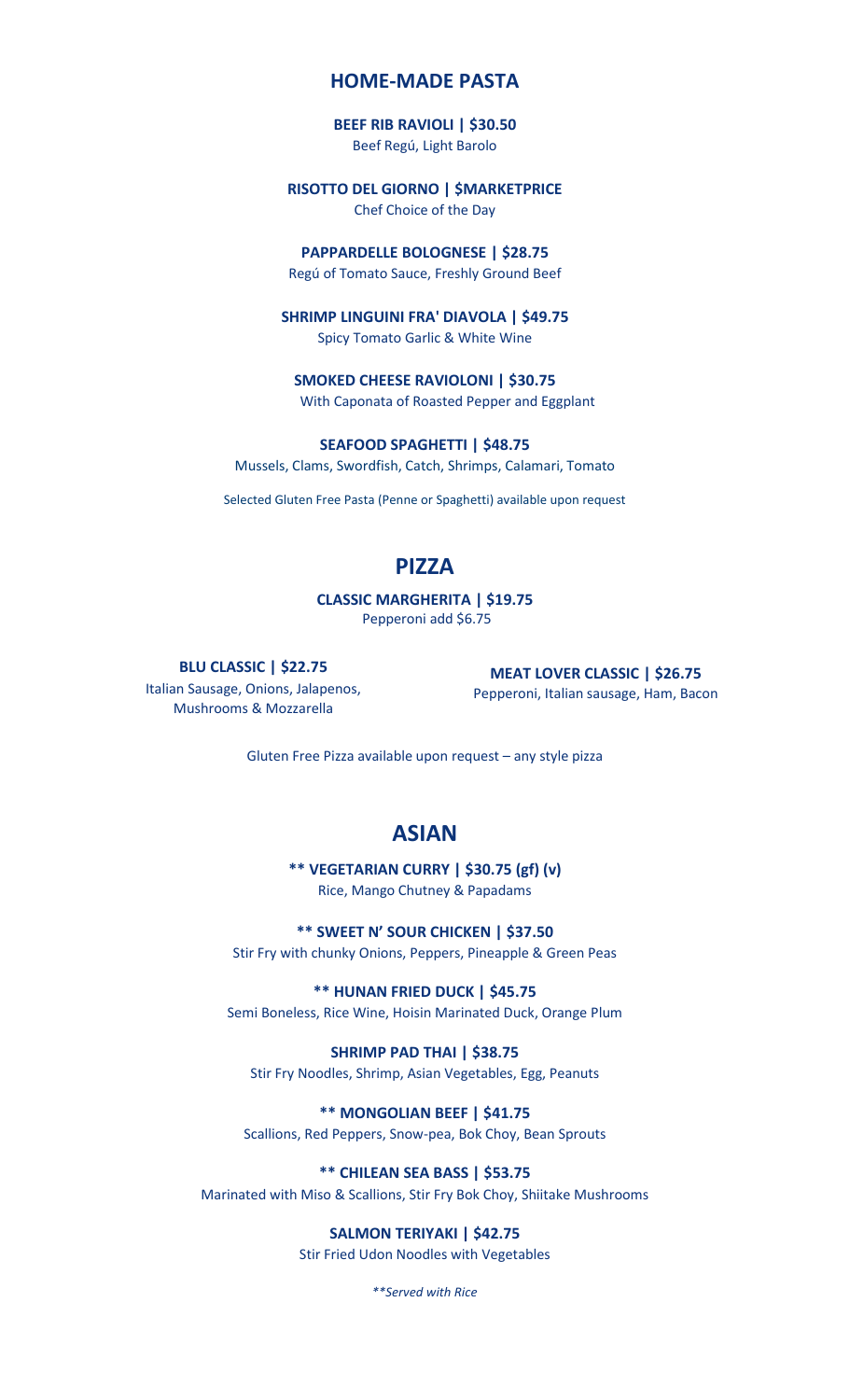# **HOME-MADE PASTA**

#### **BEEF RIB RAVIOLI | \$30.50**

Beef Regú, Light Barolo

## **RISOTTO DEL GIORNO | \$MARKETPRICE**

Chef Choice of the Day

#### **PAPPARDELLE BOLOGNESE | \$28.75**

Regú of Tomato Sauce, Freshly Ground Beef

## **SHRIMP LINGUINI FRA' DIAVOLA | \$49.75**

Spicy Tomato Garlic & White Wine

**SMOKED CHEESE RAVIOLONI | \$30.75** With Caponata of Roasted Pepper and Eggplant

**SEAFOOD SPAGHETTI | \$48.75** Mussels, Clams, Swordfish, Catch, Shrimps, Calamari, Tomato

Selected Gluten Free Pasta (Penne or Spaghetti) available upon request

# **PIZZA**

**CLASSIC MARGHERITA | \$19.75** Pepperoni add \$6.75

## **BLU CLASSIC | \$22.75**

Italian Sausage, Onions, Jalapenos, Mushrooms & Mozzarella

**MEAT LOVER CLASSIC | \$26.75** Pepperoni, Italian sausage, Ham, Bacon

Gluten Free Pizza available upon request – any style pizza

# **ASIAN**

**\*\* VEGETARIAN CURRY | \$30.75 (gf) (v)** Rice, Mango Chutney & Papadams

**\*\* SWEET N' SOUR CHICKEN | \$37.50**

Stir Fry with chunky Onions, Peppers, Pineapple & Green Peas

**\*\* HUNAN FRIED DUCK | \$45.75** Semi Boneless, Rice Wine, Hoisin Marinated Duck, Orange Plum

#### **SHRIMP PAD THAI | \$38.75**

Stir Fry Noodles, Shrimp, Asian Vegetables, Egg, Peanuts

**\*\* MONGOLIAN BEEF | \$41.75**

Scallions, Red Peppers, Snow-pea, Bok Choy, Bean Sprouts

# **\*\* CHILEAN SEA BASS | \$53.75**

Marinated with Miso & Scallions, Stir Fry Bok Choy, Shiitake Mushrooms

## **SALMON TERIYAKI | \$42.75**

Stir Fried Udon Noodles with Vegetables

*\*\*Served with Rice*